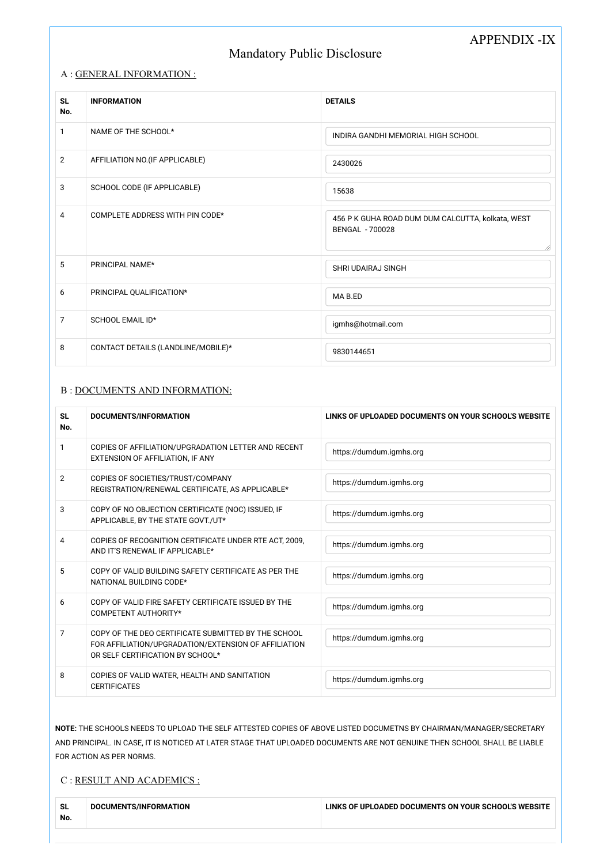# APPENDIX -IX

# Mandatory Public Disclosure

| <b>SL</b><br>No. | <b>INFORMATION</b>                 | <b>DETAILS</b>                                                       |
|------------------|------------------------------------|----------------------------------------------------------------------|
| $\mathbf{1}$     | NAME OF THE SCHOOL*                | INDIRA GANDHI MEMORIAL HIGH SCHOOL                                   |
| $\overline{2}$   | AFFILIATION NO.(IF APPLICABLE)     | 2430026                                                              |
| 3                | SCHOOL CODE (IF APPLICABLE)        | 15638                                                                |
| 4                | COMPLETE ADDRESS WITH PIN CODE*    | 456 P K GUHA ROAD DUM DUM CALCUTTA, kolkata, WEST<br>BENGAL - 700028 |
| 5                | PRINCIPAL NAME*                    | <b>SHRI UDAIRAJ SINGH</b>                                            |
| 6                | PRINCIPAL QUALIFICATION*           | MA B.ED                                                              |
| $\overline{7}$   | SCHOOL EMAIL ID*                   | igmhs@hotmail.com                                                    |
| 8                | CONTACT DETAILS (LANDLINE/MOBILE)* | 9830144651                                                           |

#### A : GENERAL INFORMATION :

#### B : DOCUMENTS AND INFORMATION:

| <b>SL</b><br>No. | DOCUMENTS/INFORMATION                                                                                                                           | LINKS OF UPLOADED DOCUMENTS ON YOUR SCHOOL'S WEBSITE |  |
|------------------|-------------------------------------------------------------------------------------------------------------------------------------------------|------------------------------------------------------|--|
| 1                | COPIES OF AFFILIATION/UPGRADATION LETTER AND RECENT<br>EXTENSION OF AFFILIATION, IF ANY                                                         | https://dumdum.igmhs.org                             |  |
| $\overline{2}$   | COPIES OF SOCIETIES/TRUST/COMPANY<br>REGISTRATION/RENEWAL CERTIFICATE, AS APPLICABLE*                                                           | https://dumdum.igmhs.org                             |  |
| 3                | COPY OF NO OBJECTION CERTIFICATE (NOC) ISSUED, IF<br>APPLICABLE, BY THE STATE GOVT./UT*                                                         | https://dumdum.igmhs.org                             |  |
| 4                | COPIES OF RECOGNITION CERTIFICATE UNDER RTE ACT, 2009,<br>AND IT'S RENEWAL IF APPLICABLE*                                                       | https://dumdum.igmhs.org                             |  |
| 5                | COPY OF VALID BUILDING SAFETY CERTIFICATE AS PER THE<br>NATIONAL BUILDING CODE*                                                                 | https://dumdum.igmhs.org                             |  |
| 6                | COPY OF VALID FIRE SAFETY CERTIFICATE ISSUED BY THE<br>COMPETENT AUTHORITY*                                                                     | https://dumdum.igmhs.org                             |  |
| 7                | COPY OF THE DEO CERTIFICATE SUBMITTED BY THE SCHOOL<br>FOR AFFILIATION/UPGRADATION/EXTENSION OF AFFILIATION<br>OR SELF CERTIFICATION BY SCHOOL* | https://dumdum.igmhs.org                             |  |
| 8                | COPIES OF VALID WATER, HEALTH AND SANITATION<br><b>CERTIFICATES</b>                                                                             | https://dumdum.igmhs.org                             |  |

NOTE: THE SCHOOLS NEEDS TO UPLOAD THE SELF ATTESTED COPIES OF ABOVE LISTED DOCUMETNS BY CHAIRMAN/MANAGER/SECRETARY AND PRINCIPAL. IN CASE, IT IS NOTICED AT LATER STAGE THAT UPLOADED DOCUMENTS ARE NOT GENUINE THEN SCHOOL SHALL BE LIABLE FOR ACTION AS PER NORMS.

#### C : RESULT AND ACADEMICS :

| <b>SL</b> | No. | DOCUMENTS/INFORMATION | LINKS OF UPLOADED DOCUMENTS ON YOUR SCHOOL'S WEBSITE |
|-----------|-----|-----------------------|------------------------------------------------------|
|           |     |                       |                                                      |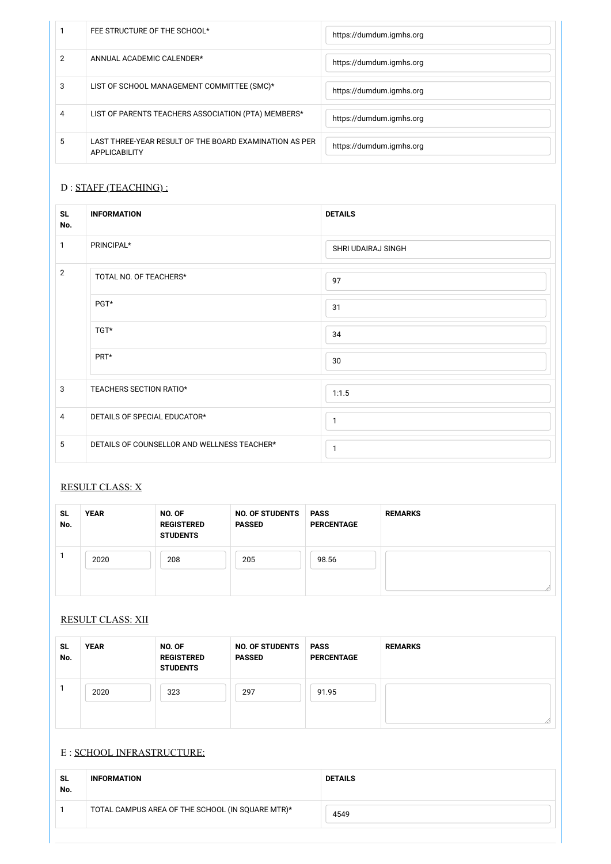|   | FEE STRUCTURE OF THE SCHOOL*                                            | https://dumdum.igmhs.org |
|---|-------------------------------------------------------------------------|--------------------------|
|   | ANNUAL ACADEMIC CALENDER*                                               | https://dumdum.igmhs.org |
| 3 | LIST OF SCHOOL MANAGEMENT COMMITTEE (SMC)*                              | https://dumdum.igmhs.org |
| 4 | LIST OF PARENTS TEACHERS ASSOCIATION (PTA) MEMBERS*                     | https://dumdum.igmhs.org |
| 5 | LAST THREE-YEAR RESULT OF THE BOARD EXAMINATION AS PER<br>APPLICABILITY | https://dumdum.igmhs.org |

### D : STAFF (TEACHING) :

| <b>SL</b><br>No. | <b>INFORMATION</b>                          | <b>DETAILS</b>     |
|------------------|---------------------------------------------|--------------------|
| 1                | PRINCIPAL*                                  | SHRI UDAIRAJ SINGH |
| $\overline{2}$   | TOTAL NO. OF TEACHERS*                      | 97                 |
|                  | PGT*                                        | 31                 |
|                  | TGT*                                        | 34                 |
|                  | PRT*                                        | 30                 |
| $\mathbf{3}$     | TEACHERS SECTION RATIO*                     | 1:1.5              |
| $\overline{4}$   | DETAILS OF SPECIAL EDUCATOR*                | 1                  |
| 5                | DETAILS OF COUNSELLOR AND WELLNESS TEACHER* | 1                  |

### RESULT CLASS: X

| <b>SL</b><br>No. | <b>YEAR</b> | NO. OF<br><b>REGISTERED</b><br><b>STUDENTS</b> | <b>NO. OF STUDENTS</b><br><b>PASSED</b> | <b>PASS</b><br><b>PERCENTAGE</b> | <b>REMARKS</b> |
|------------------|-------------|------------------------------------------------|-----------------------------------------|----------------------------------|----------------|
|                  | 2020        | 208                                            | 205                                     | 98.56                            |                |

#### RESULT CLASS: XII

| ิจ∟ | . .<br>VI<br>ΆŊ | NO.<br>. OF | ΩI<br>N <sub>0</sub> | <b>PASS</b><br>AJJ | . |
|-----|-----------------|-------------|----------------------|--------------------|---|
|     |                 |             |                      |                    |   |

| No. |      | <b>REGISTERED</b><br><b>STUDENTS</b> | <b>PASSED</b> | <b>PERCENTAGE</b> |  |
|-----|------|--------------------------------------|---------------|-------------------|--|
|     | 2020 | 323                                  | 297           | 91.95             |  |
|     |      |                                      |               |                   |  |

#### E : SCHOOL INFRASTRUCTURE:

| <b>SL</b><br>No. | <b>INFORMATION</b>                               | <b>DETAILS</b> |
|------------------|--------------------------------------------------|----------------|
|                  | TOTAL CAMPUS AREA OF THE SCHOOL (IN SQUARE MTR)* | 4549           |
|                  |                                                  |                |